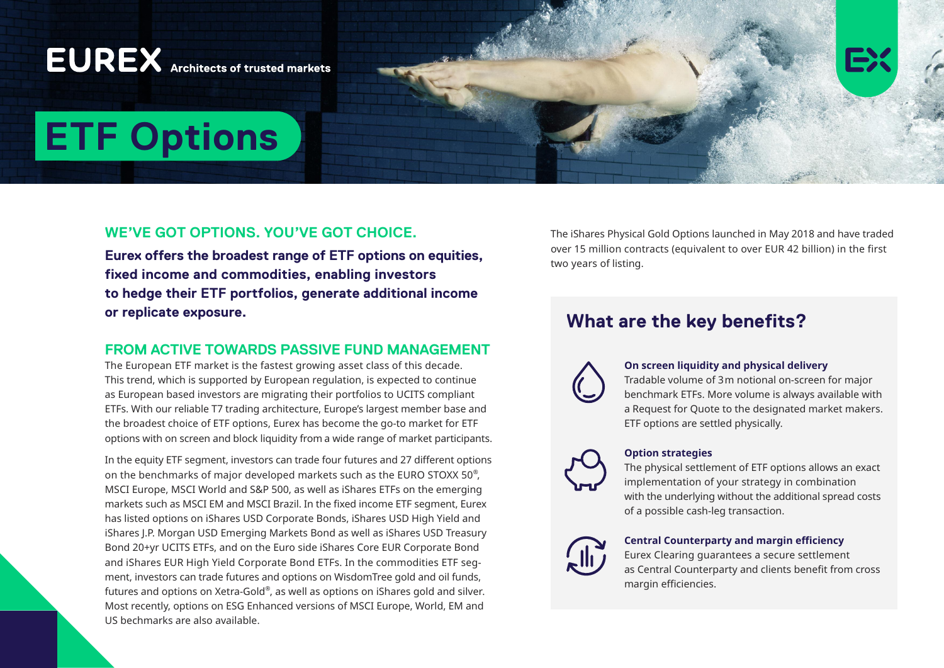## **EUREX** Architects of trusted markets

# **ETF Options**

## **WE'VE GOT OPTIONS. YOU'VE GOT CHOICE.**

**Eurex offers the broadest range of ETF options on equities, fixed income and commodities, enabling investors to hedge their ETF portfolios, generate additional income or replicate exposure.**

## **FROM ACTIVE TOWARDS PASSIVE FUND MANAGEMENT**

The European ETF market is the fastest growing asset class of this decade. This trend, which is supported by European regulation, is expected to continue as European based investors are migrating their portfolios to UCITS compliant ETFs. With our reliable T7 trading architecture, Europe's largest member base and the broadest choice of ETF options, Eurex has become the go-to market for ETF options with on screen and block liquidity from a wide range of market participants.

In the equity ETF segment, investors can trade four futures and 27 different options on the benchmarks of major developed markets such as the EURO STOXX 50® , MSCI Europe, MSCI World and S&P 500, as well as iShares ETFs on the emerging markets such as MSCI EM and MSCI Brazil. In the fixed income ETF segment, Eurex has listed options on iShares USD Corporate Bonds, iShares USD High Yield and iShares J.P. Morgan USD Emerging Markets Bond as well as iShares USD Treasury Bond 20+yr UCITS ETFs, and on the Euro side iShares Core EUR Corporate Bond and iShares EUR High Yield Corporate Bond ETFs. In the commodities ETF segment, investors can trade futures and options on WisdomTree gold and oil funds, futures and options on Xetra-Gold®, as well as options on iShares gold and silver. Most recently, options on ESG Enhanced versions of MSCI Europe, World, EM and US bechmarks are also available.

The iShares Physical Gold Options launched in May 2018 and have traded over 15 million contracts (equivalent to over EUR 42 billion) in the first two years of listing.

## **What are the key benefits?**

**On screen liquidity and physical delivery**

Tradable volume of 3m notional on-screen for major benchmark ETFs. More volume is always available with a Request for Quote to the designated market makers. ETF options are settled physically.



## **Option strategies**

The physical settlement of ETF options allows an exact implementation of your strategy in combination with the underlying without the additional spread costs of a possible cash-leg transaction.



#### **Central Counterparty and margin efficiency**

Eurex Clearing guarantees a secure settlement as Central Counterparty and clients benefit from cross margin efficiencies.